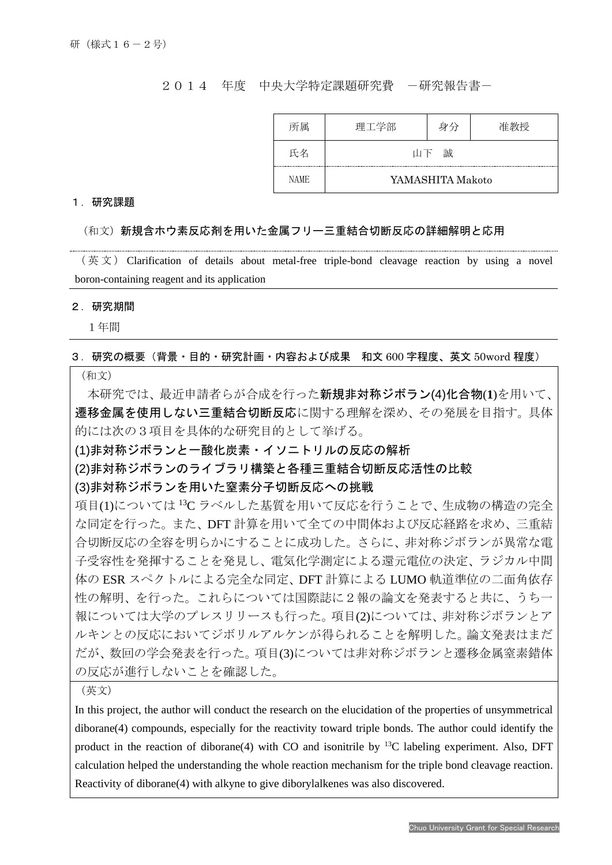2014 年度 中央大学特定課題研究費 -研究報告書-

| 所属          | 理工学部             | 身分 | 准教授 |
|-------------|------------------|----|-----|
| 氏名          | 山下 誠             |    |     |
| <b>NAME</b> | YAMASHITA Makoto |    |     |

## 1.研究課題

## (和文)新規含ホウ素反応剤を用いた金属フリー三重結合切断反応の詳細解明と応用

 $(\notimes \chi)$  Clarification of details about metal-free triple-bond cleavage reaction by using a novel boron-containing reagent and its application

## 2.研究期間

I

1年間

## 3.研究の概要(背景・目的・研究計画・内容および成果 和文 600 字程度、英文 50word 程度)

(和文)

本研究では、最近申請者らが合成を行った新規非対称ジボラン(4)化合物(**1**)を用いて、 遷移金属を使用しない三重結合切断反応に関する理解を深め、その発展を目指す。具体 的には次の3項目を具体的な研究目的として挙げる。

(1)非対称ジボランと一酸化炭素・イソニトリルの反応の解析

(2)非対称ジボランのライブラリ構築と各種三重結合切断反応活性の比較

(3)非対称ジボランを用いた窒素分子切断反応への挑戦

項目(1)については 13C ラベルした基質を用いて反応を行うことで、生成物の構造の完全 な同定を行った。また、DFT 計算を用いて全ての中間体および反応経路を求め、三重結 合切断反応の全容を明らかにすることに成功した。さらに、非対称ジボランが異常な電 子受容性を発揮することを発見し、電気化学測定による還元電位の決定、ラジカル中間 体の ESR スペクトルによる完全な同定、DFT 計算による LUMO 軌道準位の二面角依存 性の解明、を行った。これらについては国際誌に2報の論文を発表すると共に、うち一 報については大学のプレスリリースも行った。項目(2)については、非対称ジボランとア ルキンとの反応においてジボリルアルケンが得られることを解明した。論文発表はまだ だが、数回の学会発表を行った。項目(3)については非対称ジボランと遷移金属窒素錯体 の反応が進行しないことを確認した。

(英文)

In this project, the author will conduct the research on the elucidation of the properties of unsymmetrical diborane(4) compounds, especially for the reactivity toward triple bonds. The author could identify the product in the reaction of diborane(4) with CO and isonitrile by <sup>13</sup>C labeling experiment. Also, DFT calculation helped the understanding the whole reaction mechanism for the triple bond cleavage reaction. Reactivity of diborane(4) with alkyne to give diborylalkenes was also discovered.